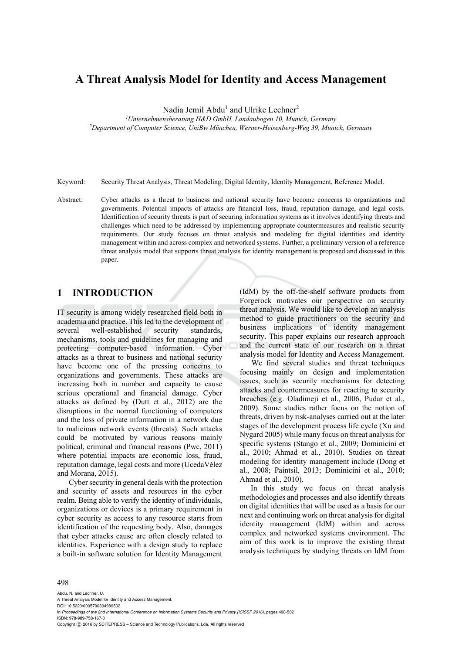# **A Threat Analysis Model for Identity and Access Management**

Nadia Jemil Abdu<sup>1</sup> and Ulrike Lechner<sup>2</sup>

<sup>1</sup>Unternehmensberatung H&D GmbH, Landaubogen 10, Munich, Germany *Unternehmensberatung H&D GmbH, Landaubogen 10, Munich, Germany 2 Department of Computer Science, UniBw München, Werner-Heisenberg-Weg 39, Munich, Germany* 

Keyword: Security Threat Analysis, Threat Modeling, Digital Identity, Identity Management, Reference Model.

Abstract: Cyber attacks as a threat to business and national security have become concerns to organizations and governments. Potential impacts of attacks are financial loss, fraud, reputation damage, and legal costs. Identification of security threats is part of securing information systems as it involves identifying threats and challenges which need to be addressed by implementing appropriate countermeasures and realistic security requirements. Our study focuses on threat analysis and modeling for digital identities and identity management within and across complex and networked systems. Further, a preliminary version of a reference threat analysis model that supports threat analysis for identity management is proposed and discussed in this paper.

### **1 INTRODUCTION**

IT security is among widely researched field both in academia and practice. This led to the development of several well-established security standards, mechanisms, tools and guidelines for managing and protecting computer-based information. Cyber attacks as a threat to business and national security have become one of the pressing concerns to organizations and governments. These attacks are increasing both in number and capacity to cause serious operational and financial damage. Cyber attacks as defined by (Dutt et al., 2012) are the disruptions in the normal functioning of computers and the loss of private information in a network due to malicious network events (threats). Such attacks could be motivated by various reasons mainly political, criminal and financial reasons (Pwc, 2011) where potential impacts are economic loss, fraud, reputation damage, legal costs and more (UcedaVélez and Morana, 2015).

Cyber security in general deals with the protection and security of assets and resources in the cyber realm. Being able to verify the identity of individuals, organizations or devices is a primary requirement in cyber security as access to any resource starts from identification of the requesting body. Also, damages that cyber attacks cause are often closely related to identities. Experience with a design study to replace a built-in software solution for Identity Management

(IdM) by the off-the-shelf software products from Forgerock motivates our perspective on security threat analysis. We would like to develop an analysis method to guide practitioners on the security and business implications of identity management security. This paper explains our research approach and the current state of our research on a threat analysis model for Identity and Access Management.

We find several studies and threat techniques focusing mainly on design and implementation issues, such as security mechanisms for detecting attacks and countermeasures for reacting to security breaches (e.g. Oladimeii et al., 2006, Pudar et al., 2009). Some studies rather focus on the notion of threats, driven by risk-analyses carried out at the later stages of the development process life cycle (Xu and Nygard 2005) while many focus on threat analysis for specific systems (Stango et al., 2009; Dominicini et al., 2010; Ahmad et al., 2010). Studies on threat modeling for identity management include (Dong et al., 2008; Paintsil, 2013; Dominicini et al., 2010; Ahmad et al., 2010).

In this study we focus on threat analysis methodologies and processes and also identify threats on digital identities that will be used as a basis for our next and continuing work on threat analysis for digital identity management (IdM) within and across complex and networked systems environment. The aim of this work is to improve the existing threat analysis techniques by studying threats on IdM from

#### 498

Abdu, N. and Lechner, U. A Threat Analysis Model for Identity and Access Management. DOI: 10.5220/0005790304980502 In *Proceedings of the 2nd International Conference on Information Systems Security and Privacy (ICISSP 2016)*, pages 498-502 ISBN: 978-989-758-167-0 Copyright © 2016 by SCITEPRESS - Science and Technology Publications, Lda. All rights reserved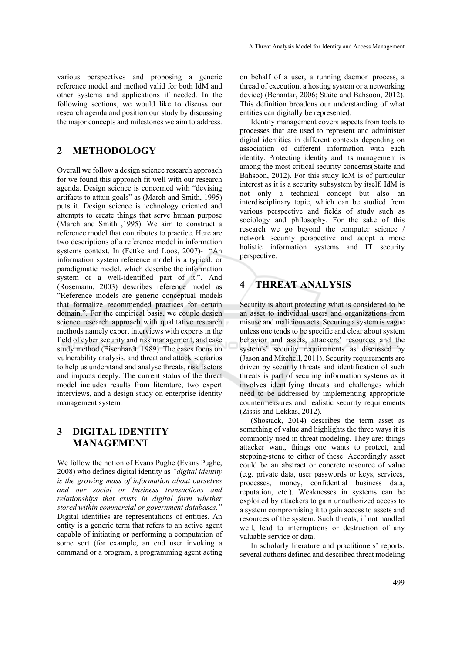various perspectives and proposing a generic reference model and method valid for both IdM and other systems and applications if needed. In the following sections, we would like to discuss our research agenda and position our study by discussing the major concepts and milestones we aim to address.

### **2 METHODOLOGY**

Overall we follow a design science research approach for we found this approach fit well with our research agenda. Design science is concerned with "devising artifacts to attain goals" as (March and Smith, 1995) puts it. Design science is technology oriented and attempts to create things that serve human purpose (March and Smith ,1995). We aim to construct a reference model that contributes to practice. Here are two descriptions of a reference model in information systems context. In (Fettke and Loos, 2007)- "An information system reference model is a typical, or paradigmatic model, which describe the information system or a well-identified part of it.". And (Rosemann, 2003) describes reference model as "Reference models are generic conceptual models that formalize recommended practices for certain domain.". For the empirical basis, we couple design science research approach with qualitative research methods namely expert interviews with experts in the field of cyber security and risk management, and case study method (Eisenhardt, 1989). The cases focus on vulnerability analysis, and threat and attack scenarios to help us understand and analyse threats, risk factors and impacts deeply. The current status of the threat model includes results from literature, two expert interviews, and a design study on enterprise identity management system.

### **3 DIGITAL IDENTITY MANAGEMENT**

We follow the notion of Evans Pughe (Evans Pughe, 2008) who defines digital identity as *"digital identity is the growing mass of information about ourselves and our social or business transactions and relationships that exists in digital form whether stored within commercial or government databases."*  Digital identities are representations of entities. An entity is a generic term that refers to an active agent capable of initiating or performing a computation of some sort (for example, an end user invoking a command or a program, a programming agent acting on behalf of a user, a running daemon process, a thread of execution, a hosting system or a networking device) (Benantar, 2006; Staite and Bahsoon, 2012). This definition broadens our understanding of what entities can digitally be represented.

Identity management covers aspects from tools to processes that are used to represent and administer digital identities in different contexts depending on association of different information with each identity. Protecting identity and its management is among the most critical security concerns(Staite and Bahsoon, 2012). For this study IdM is of particular interest as it is a security subsystem by itself. IdM is not only a technical concept but also an interdisciplinary topic, which can be studied from various perspective and fields of study such as sociology and philosophy. For the sake of this research we go beyond the computer science / network security perspective and adopt a more holistic information systems and IT security perspective.

## **4 THREAT ANALYSIS**

Security is about protecting what is considered to be an asset to individual users and organizations from misuse and malicious acts. Securing a system is vague unless one tends to be specific and clear about system behavior and assets, attackers' resources and the system's' security requirements as discussed by (Jason and Mitchell, 2011). Security requirements are driven by security threats and identification of such threats is part of securing information systems as it involves identifying threats and challenges which need to be addressed by implementing appropriate countermeasures and realistic security requirements (Zissis and Lekkas, 2012).

(Shostack, 2014) describes the term asset as something of value and highlights the three ways it is commonly used in threat modeling. They are: things attacker want, things one wants to protect, and stepping-stone to either of these. Accordingly asset could be an abstract or concrete resource of value (e.g. private data, user passwords or keys, services, processes, money, confidential business data, reputation, etc.). Weaknesses in systems can be exploited by attackers to gain unauthorized access to a system compromising it to gain access to assets and resources of the system. Such threats, if not handled well, lead to interruptions or destruction of any valuable service or data.

In scholarly literature and practitioners' reports, several authors defined and described threat modeling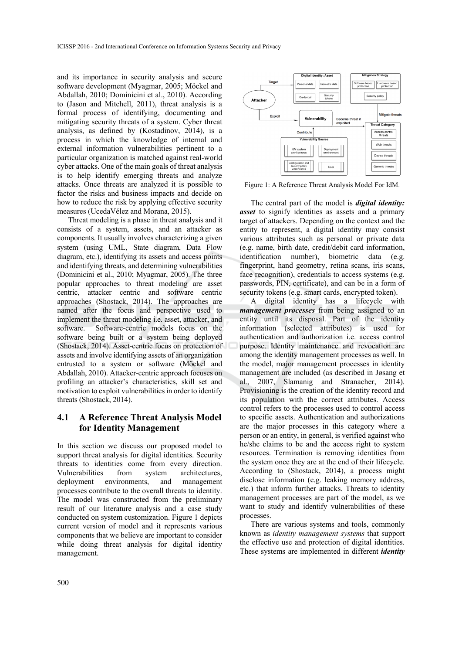and its importance in security analysis and secure software development (Myagmar, 2005; Möckel and Abdallah, 2010; Dominicini et al., 2010). According to (Jason and Mitchell, 2011), threat analysis is a formal process of identifying, documenting and mitigating security threats of a system. Cyber threat analysis, as defined by (Kostadinov, 2014), is a process in which the knowledge of internal and external information vulnerabilities pertinent to a particular organization is matched against real-world cyber attacks. One of the main goals of threat analysis is to help identify emerging threats and analyze attacks. Once threats are analyzed it is possible to factor the risks and business impacts and decide on how to reduce the risk by applying effective security measures (UcedaVélez and Morana, 2015).

Threat modeling is a phase in threat analysis and it consists of a system, assets, and an attacker as components. It usually involves characterizing a given system (using UML, State diagram, Data Flow diagram, etc.), identifying its assets and access points and identifying threats, and determining vulnerabilities (Dominicini et al., 2010; Myagmar, 2005). The three popular approaches to threat modeling are asset centric, attacker centric and software centric approaches (Shostack, 2014). The approaches are named after the focus and perspective used to implement the threat modeling i.e. asset, attacker, and software. Software-centric models focus on the software being built or a system being deployed (Shostack, 2014). Asset-centric focus on protection of assets and involve identifying assets of an organization entrusted to a system or software (Möckel and Abdallah, 2010). Attacker-centric approach focuses on profiling an attacker's characteristics, skill set and motivation to exploit vulnerabilities in order to identify threats (Shostack, 2014).

#### **4.1 A Reference Threat Analysis Model for Identity Management**

In this section we discuss our proposed model to support threat analysis for digital identities. Security threats to identities come from every direction. Vulnerabilities from system architectures, deployment environments, and management processes contribute to the overall threats to identity. The model was constructed from the preliminary result of our literature analysis and a case study conducted on system customization. Figure 1 depicts current version of model and it represents various components that we believe are important to consider while doing threat analysis for digital identity management.



Figure 1: A Reference Threat Analysis Model For IdM.

The central part of the model is *digital identity: asset* to signify identities as assets and a primary target of attackers. Depending on the context and the entity to represent, a digital identity may consist various attributes such as personal or private data (e.g. name, birth date, credit/debit card information, identification number), biometric data (e.g. fingerprint, hand geometry, retina scans, iris scans, face recognition), credentials to access systems (e.g. passwords, PIN, certificate), and can be in a form of security tokens (e.g. smart cards, encrypted token).

A digital identity has a lifecycle with *management processes* from being assigned to an entity until its disposal. Part of the identity information (selected attributes) is used for authentication and authorization i.e. access control purpose. Identity maintenance and revocation are among the identity management processes as well. In the model, major management processes in identity management are included (as described in Jøsang et al., 2007, Slamanig and Stranacher, 2014). Provisioning is the creation of the identity record and its population with the correct attributes. Access control refers to the processes used to control access to specific assets. Authentication and authorizations are the major processes in this category where a person or an entity, in general, is verified against who he/she claims to be and the access right to system resources. Termination is removing identities from the system once they are at the end of their lifecycle. According to (Shostack, 2014), a process might disclose information (e.g. leaking memory address, etc.) that inform further attacks. Threats to identity management processes are part of the model, as we want to study and identify vulnerabilities of these processes.

There are various systems and tools, commonly known as *identity management systems* that support the effective use and protection of digital identities. These systems are implemented in different *identity*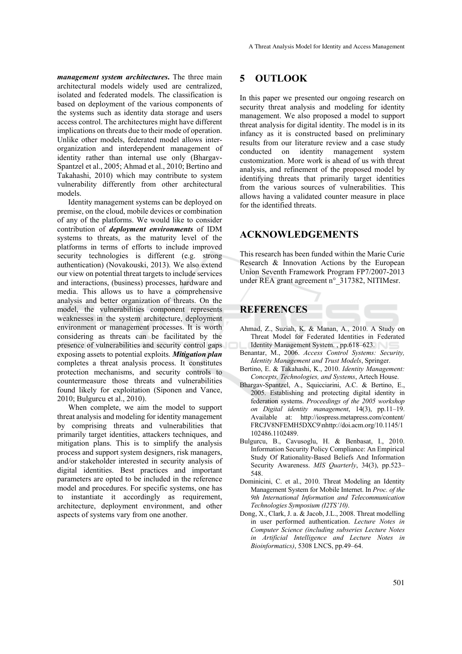*management system architectures***.** The three main architectural models widely used are centralized, isolated and federated models. The classification is based on deployment of the various components of the systems such as identity data storage and users access control. The architectures might have different implications on threats due to their mode of operation. Unlike other models, federated model allows interorganization and interdependent management of identity rather than internal use only (Bhargav-Spantzel et al., 2005; Ahmad et al., 2010; Bertino and Takahashi, 2010) which may contribute to system vulnerability differently from other architectural models.

Identity management systems can be deployed on premise, on the cloud, mobile devices or combination of any of the platforms. We would like to consider contribution of *deployment environments* of IDM systems to threats, as the maturity level of the platforms in terms of efforts to include improved security technologies is different (e.g. strong authentication) (Novakouski, 2013). We also extend our view on potential threat targets to include services and interactions, (business) processes, hardware and media. This allows us to have a comprehensive analysis and better organization of threats. On the model, the vulnerabilities component represents weaknesses in the system architecture, deployment environment or management processes. It is worth considering as threats can be facilitated by the presence of vulnerabilities and security control gaps exposing assets to potential exploits. *Mitigation plan* completes a threat analysis process. It constitutes protection mechanisms, and security controls to countermeasure those threats and vulnerabilities found likely for exploitation (Siponen and Vance, 2010; Bulgurcu et al., 2010).

When complete, we aim the model to support threat analysis and modeling for identity management by comprising threats and vulnerabilities that primarily target identities, attackers techniques, and mitigation plans. This is to simplify the analysis process and support system designers, risk managers, and/or stakeholder interested in security analysis of digital identities. Best practices and important parameters are opted to be included in the reference model and procedures. For specific systems, one has to instantiate it accordingly as requirement, architecture, deployment environment, and other aspects of systems vary from one another.

### **5 OUTLOOK**

In this paper we presented our ongoing research on security threat analysis and modeling for identity management. We also proposed a model to support threat analysis for digital identity. The model is in its infancy as it is constructed based on preliminary results from our literature review and a case study conducted on identity management system customization. More work is ahead of us with threat analysis, and refinement of the proposed model by identifying threats that primarily target identities from the various sources of vulnerabilities. This allows having a validated counter measure in place for the identified threats.

### **ACKNOWLEDGEMENTS**

This research has been funded within the Marie Curie Research & Innovation Actions by the European Union Seventh Framework Program FP7/2007-2013 under REA grant agreement n° 317382, NITIMesr.

### **REFERENCES**

- Ahmad, Z., Suziah, K. & Manan, A., 2010. A Study on Threat Model for Federated Identities in Federated Identity Management System. , pp.618–623.
- Benantar, M., 2006. *Access Control Systems: Security, Identity Management and Trust Models*, Springer.
- Bertino, E. & Takahashi, K., 2010. *Identity Management: Concepts, Technologies, and Systems*, Artech House.
- Bhargav-Spantzel, A., Squicciarini, A.C. & Bertino, E., 2005. Establishing and protecting digital identity in federation systems. *Proceedings of the 2005 workshop on Digital identity management*, 14(3), pp.11–19. Available at: http://iospress.metapress.com/content/ FRCJV8NFEMH5DXC9\nhttp://doi.acm.org/10.1145/1 102486.1102489.
- Bulgurcu, B., Cavusoglu, H. & Benbasat, I., 2010. Information Security Policy Compliance: An Empirical Study Of Rationality-Based Beliefs And Information Security Awareness. *MIS Quarterly*, 34(3), pp.523– 548.
- Dominicini, C. et al., 2010. Threat Modeling an Identity Management System for Mobile Internet. In *Proc. of the 9th International Information and Telecommunication Technologies Symposium (I2TS'10)*.
- Dong, X., Clark, J. a. & Jacob, J.L., 2008. Threat modelling in user performed authentication. *Lecture Notes in Computer Science (including subseries Lecture Notes in Artificial Intelligence and Lecture Notes in Bioinformatics)*, 5308 LNCS, pp.49–64.